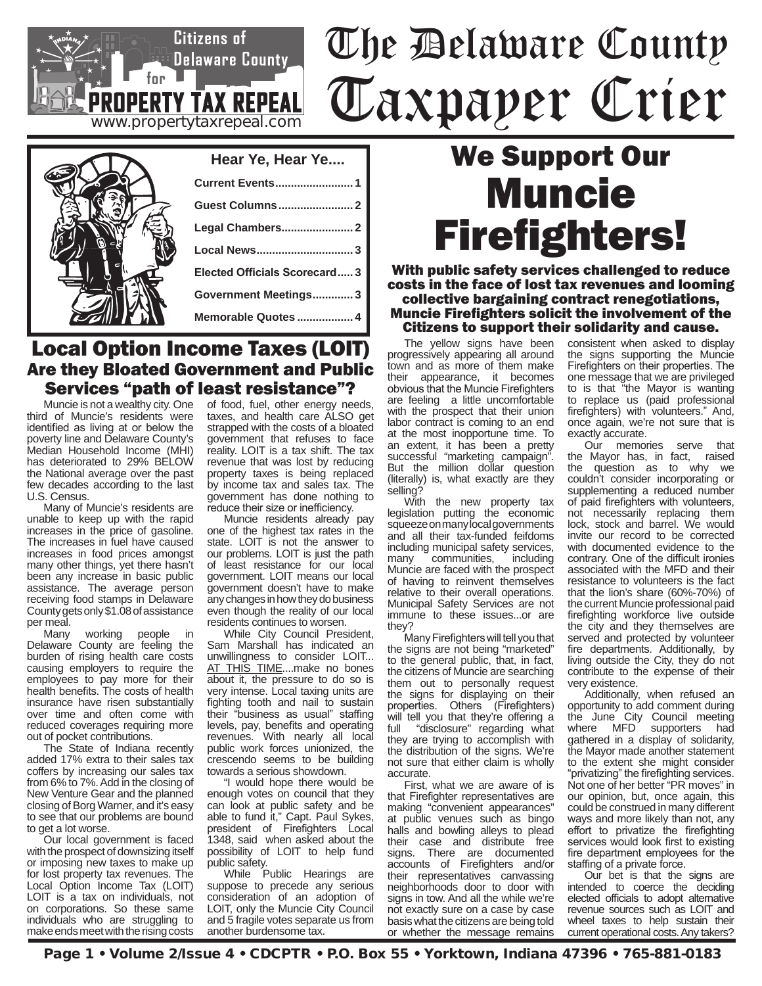# The Delaware County Taxpayer Crier

| Hear Ye, Hear Ye             |
|------------------------------|
| <b>Current Events1</b>       |
|                              |
|                              |
| Local News3                  |
| Elected Officials Scorecard3 |
| Government Meetings3         |
| Memorable Quotes  4          |
|                              |

**www.propertytaxrepeal.com**

**PROPERTY TAX REPEAL** 

 $for$ ]

Citizens of

 $\gtrsim$ Delaware County $\gtrsim$ 

### Local Option Income Taxes (LOIT) Are they Bloated Government and Public Services "path of least resistance"?

Muncie is not a wealthy city. One third of Muncie's residents were identified as living at or below the poverty line and Delaware County's Median Household Income (MHI) has deteriorated to 29% BELOW the National average over the past few decades according to the last U.S. Census.

Many of Muncie's residents are unable to keep up with the rapid increases in the price of gasoline. The increases in fuel have caused increases in food prices amongst many other things, yet there hasn't been any increase in basic public assistance. The average person receiving food stamps in Delaware County gets only \$1.08 of assistance per meal.<br>Many

working people in Delaware County are feeling the burden of rising health care costs causing employers to require the employees to pay more for their health benefits. The costs of health insurance have risen substantially over time and often come with reduced coverages requiring more out of pocket contributions.

The State of Indiana recently added 17% extra to their sales tax coffers by increasing our sales tax from 6% to 7%. Add in the closing of New Venture Gear and the planned closing of Borg Warner, and it's easy to see that our problems are bound to get a lot worse.

Our local government is faced with the prospect of downsizing itself or imposing new taxes to make up for lost property tax revenues. The Local Option Income Tax (LOIT) LOIT is a tax on individuals, not on corporations. So these same individuals who are struggling to make ends meet with the rising costs of food, fuel, other energy needs, taxes, and health care ALSO get strapped with the costs of a bloated government that refuses to face reality. LOIT is a tax shift. The tax revenue that was lost by reducing property taxes is being replaced by income tax and sales tax. The government has done nothing to reduce their size or inefficiency.

Muncie residents already pay one of the highest tax rates in the state. LOIT is not the answer to our problems. LOIT is just the path of least resistance for our local government. LOIT means our local government doesn't have to make any changes in how they do business even though the reality of our local residents continues to worsen.

While City Council President, Sam Marshall has indicated an unwillingness to consider LOIT... AT THIS TIME....make no bones about it, the pressure to do so is very intense. Local taxing units are fighting tooth and nail to sustain their "business as usual" staffing levels, pay, benefits and operating revenues. With nearly all local public work forces unionized, the crescendo seems to be building towards a serious showdown.

"I would hope there would be enough votes on council that they can look at public safety and be able to fund it," Capt. Paul Sykes, president of Firefighters Local 1348, said when asked about the possibility of LOIT to help fund public safety.

While Public Hearings are suppose to precede any serious consideration of an adoption of LOIT, only the Muncie City Council and 5 fragile votes separate us from another burdensome tax.

## We Support Our Muncie Firefighters!

With public safety services challenged to reduce costs in the face of lost tax revenues and looming collective bargaining contract renegotiations, Muncie Firefighters solicit the involvement of the Citizens to support their solidarity and cause.

The yellow signs have been progressively appearing all around town and as more of them make their appearance, it becomes obvious that the Muncie Firefighters are feeling a little uncomfortable with the prospect that their union labor contract is coming to an end at the most inopportune time. To an extent, it has been a pretty successful "marketing campaign". But the million dollar question (literally) is, what exactly are they selling?

With the new property tax legislation putting the economic squeeze on many local governments and all their tax-funded feifdoms including municipal safety services,<br>many communities including communities, Muncie are faced with the prospect of having to reinvent themselves relative to their overall operations. Municipal Safety Services are not immune to these issues...or are they?

Many Firefighters will tell you that the signs are not being "marketed" to the general public, that, in fact, the citizens of Muncie are searching them out to personally request the signs for displaying on their properties. Others (Firefighters) will tell you that they're offering a full "disclosure" regarding what they are trying to accomplish with the distribution of the signs. We're not sure that either claim is wholly accurate.

First, what we are aware of is that Firefighter representatives are making "convenient appearances" at public venues such as bingo halls and bowling alleys to plead their case and distribute free signs. There are documented accounts of Firefighters and/or their representatives canvassing neighborhoods door to door with signs in tow. And all the while we're not exactly sure on a case by case basis what the citizens are being told or whether the message remains

consistent when asked to display the signs supporting the Muncie Firefighters on their properties. The one message that we are privileged to is that "the Mayor is wanting to replace us (paid professional firefighters) with volunteers." And, once again, we're not sure that is exactly accurate.

Our memories serve that the Mayor has, in fact, raised the question as to why we couldn't consider incorporating or supplementing a reduced number of paid firefighters with volunteers, not necessarily replacing them lock, stock and barrel. We would invite our record to be corrected with documented evidence to the contrary. One of the difficult ironies associated with the MFD and their resistance to volunteers is the fact that the lion's share (60%-70%) of the current Muncie professional paid firefighting workforce live outside the city and they themselves are served and protected by volunteer fire departments. Additionally, by living outside the City, they do not contribute to the expense of their very existence.

Additionally, when refused an opportunity to add comment during the June City Council meeting where MFD supporters had gathered in a display of solidarity, the Mayor made another statement to the extent she might consider "privatizing" the firefighting services. Not one of her better "PR moves" in our opinion, but, once again, this could be construed in many different ways and more likely than not, any effort to privatize the firefighting services would look first to existing fire department employees for the staffing of a private force.

Our bet is that the signs are intended to coerce the deciding elected officials to adopt alternative revenue sources such as LOIT and wheel taxes to help sustain their current operational costs. Any takers?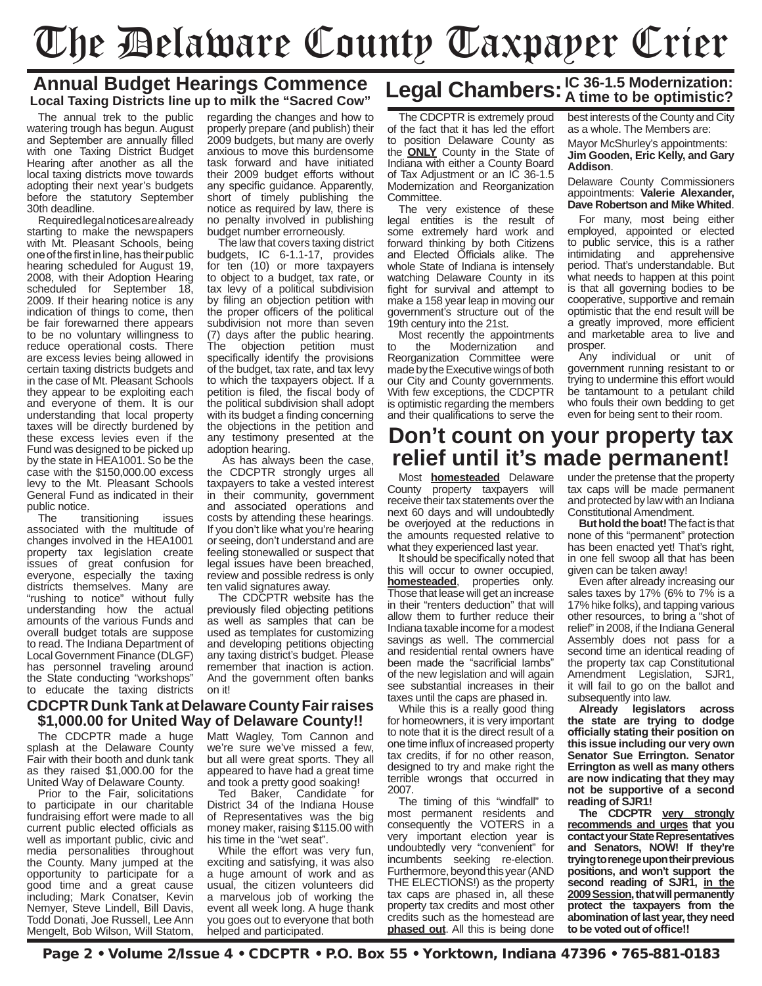# The Delaware County Taxpayer Crier

#### **Annual Budget Hearings Commence Local Taxing Districts line up to milk the "Sacred Cow"**

The annual trek to the public watering trough has begun. August and September are annually filled with one Taxing District Budget Hearing after another as all the local taxing districts move towards adopting their next year's budgets before the statutory September 30th deadline.

Required legal notices are already starting to make the newspapers with Mt. Pleasant Schools, being one of the first in line, has their public hearing scheduled for August 19, 2008, with their Adoption Hearing scheduled for September 18, 2009. If their hearing notice is any indication of things to come, then be fair forewarned there appears to be no voluntary willingness to reduce operational costs. There are excess levies being allowed in certain taxing districts budgets and in the case of Mt. Pleasant Schools they appear to be exploiting each and everyone of them. It is our understanding that local property taxes will be directly burdened by these excess levies even if the Fund was designed to be picked up by the state in HEA1001. So be the case with the \$150,000.00 excess levy to the Mt. Pleasant Schools General Fund as indicated in their public notice.<br>The tra

transitioning issues associated with the multitude of changes involved in the HEA1001 property tax legislation create issues of great confusion for everyone, especially the taxing districts themselves. Many are "rushing to notice" without fully understanding how the actual amounts of the various Funds and overall budget totals are suppose to read. The Indiana Department of Local Government Finance (DLGF) has personnel traveling around the State conducting "workshops" to educate the taxing districts regarding the changes and how to properly prepare (and publish) their 2009 budgets, but many are overly anxious to move this burdensome task forward and have initiated their 2009 budget efforts without any specific guidance. Apparently, short of timely publishing the notice as required by law, there is no penalty involved in publishing budget number errorneously.

The law that covers taxing district budgets, IC 6-1.1-17, provides for ten (10) or more taxpayers to object to a budget, tax rate, or tax levy of a political subdivision by filing an objection petition with the proper officers of the political subdivision not more than seven (7) days after the public hearing.<br>The objection petition must objection petition must specifically identify the provisions of the budget, tax rate, and tax levy to which the taxpayers object. If a petition is filed, the fiscal body of the political subdivision shall adopt with its budget a finding concerning the objections in the petition and any testimony presented at the adoption hearing.

 As has always been the case, the CDCPTR strongly urges all taxpayers to take a vested interest in their community, government and associated operations and costs by attending these hearings. If you don't like what you're hearing or seeing, don't understand and are feeling stonewalled or suspect that legal issues have been breached, review and possible redress is only ten valid signatures away.

The CDCPTR website has the previously filed objecting petitions as well as samples that can be used as templates for customizing and developing petitions objecting any taxing district's budget. Please remember that inaction is action. And the government often banks on it!

#### **CDCPTR Dunk Tank at Delaware County Fair raises \$1,000.00 for United Way of Delaware County!!**

The CDCPTR made a huge splash at the Delaware County Fair with their booth and dunk tank as they raised \$1,000.00 for the United Way of Delaware County.

Prior to the Fair, solicitations to participate in our charitable fundraising effort were made to all current public elected officials as well as important public, civic and media personalities throughout the County. Many jumped at the opportunity to participate for a good time and a great cause including; Mark Conatser, Kevin Nemyer, Steve Lindell, Bill Davis, Todd Donati, Joe Russell, Lee Ann Mengelt, Bob Wilson, Will Statom,

Matt Wagley, Tom Cannon and we're sure we've missed a few, but all were great sports. They all appeared to have had a great time and took a pretty good soaking!

Ted Baker, Candidate for District 34 of the Indiana House of Representatives was the big money maker, raising \$115.00 with his time in the "wet seat".

While the effort was very fun, exciting and satisfying, it was also a huge amount of work and as usual, the citizen volunteers did a marvelous job of working the event all week long. A huge thank you goes out to everyone that both helped and participated.

## **Legal Chambers:IC 36-1.5 Modernization: A time to be optimistic?**

The CDCPTR is extremely proud of the fact that it has led the effort to position Delaware County as the **ONLY** County in the State of Indiana with either a County Board of Tax Adjustment or an IC 36-1.5 Modernization and Reorganization Committee.

The very existence of these legal entities is the result of some extremely hard work and forward thinking by both Citizens and Elected Officials alike. The whole State of Indiana is intensely watching Delaware County in its fight for survival and attempt to make a 158 year leap in moving our government's structure out of the 19th century into the 21st.

Most recently the appointments<br>to the Modernization and Modernization Reorganization Committee were made by the Executive wings of both our City and County governments. With few exceptions, the CDCPTR is optimistic regarding the members and their qualifications to serve the

#### best interests of the County and City as a whole. The Members are:

Mayor McShurley's appointments: **Jim Gooden, Eric Kelly, and Gary Addison**.

#### Delaware County Commissioners appointments: **Valerie Alexander, Dave Robertson and Mike Whited**.

For many, most being either employed, appointed or elected to public service, this is a rather intimidating and apprehensive period. That's understandable. But what needs to happen at this point is that all governing bodies to be cooperative, supportive and remain optimistic that the end result will be a greatly improved, more efficient and marketable area to live and prosper.

Any individual or unit of government running resistant to or trying to undermine this effort would be tantamount to a petulant child who fouls their own bedding to get even for being sent to their room.

### **Don't count on your property tax relief until it's made permanent!**

Most **homesteaded** Delaware County property taxpayers will receive their tax statements over the next 60 days and will undoubtedly be overjoyed at the reductions in the amounts requested relative to what they experienced last year.

It should be specifically noted that this will occur to owner occupied, **homesteaded**, properties only. Those that lease will get an increase in their "renters deduction" that will allow them to further reduce their Indiana taxable income for a modest savings as well. The commercial and residential rental owners have been made the "sacrificial lambs" of the new legislation and will again see substantial increases in their taxes until the caps are phased in.

While this is a really good thing for homeowners, it is very important to note that it is the direct result of a one time influx of increased property tax credits, if for no other reason, designed to try and make right the terrible wrongs that occurred in 2007.

The timing of this "windfall" to most permanent residents and consequently the VOTERS in a very important election year is undoubtedly very "convenient" for incumbents seeking re-election. Furthermore, beyond this year (AND THE ELECTIONS!) as the property tax caps are phased in, all these property tax credits and most other credits such as the homestead are **phased out**. All this is being done

under the pretense that the property tax caps will be made permanent and protected by law with an Indiana Constitutional Amendment.

**But hold the boat!** The fact is that none of this "permanent" protection has been enacted yet! That's right, in one fell swoop all that has been given can be taken away!

Even after already increasing our sales taxes by 17% (6% to 7% is a 17% hike folks), and tapping various other resources, to bring a "shot of relief" in 2008, if the Indiana General Assembly does not pass for a second time an identical reading of the property tax cap Constitutional Amendment Legislation, SJR1, it will fail to go on the ballot and subsequently into law.

**Already legislators across the state are trying to dodge officially stating their position on this issue including our very own Senator Sue Errington. Senator Errington as well as many others are now indicating that they may not be supportive of a second reading of SJR1!**

**The CDCPTR very strongly recommends and urges that you contact your State Representatives and Senators, NOW! If they're trying to renege upon their previous positions, and won't support the second reading of SJR1, in the 2009 Session, that will permanently protect the taxpayers from the abomination of last year, they need to be voted out of office!!**

Page 2 • Volume 2/Issue 4 • CDCPTR • P.O. Box 55 • Yorktown, Indiana 47396 • 765-881-0183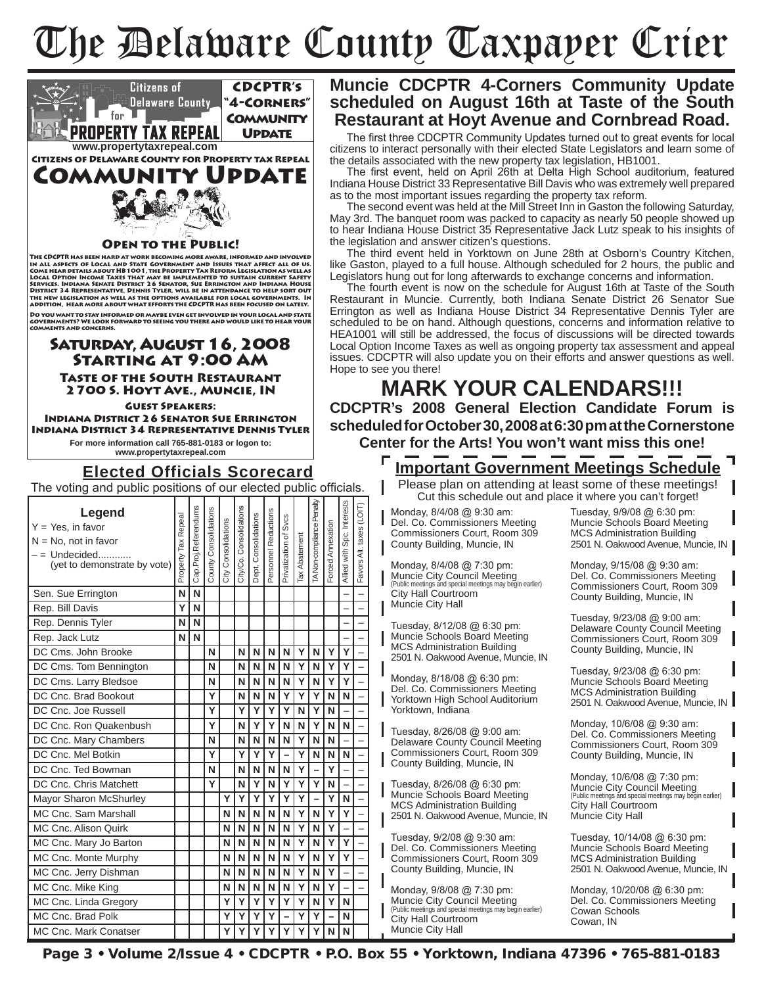# The Delaware County Taxpayer Crier



### **Muncie CDCPTR 4-Corners Community Update scheduled on August 16th at Taste of the South Restaurant at Hoyt Avenue and Cornbread Road.**

The first three CDCPTR Community Updates turned out to great events for local citizens to interact personally with their elected State Legislators and learn some of the details associated with the new property tax legislation, HB1001.

The first event, held on April 26th at Delta High School auditorium, featured Indiana House District 33 Representative Bill Davis who was extremely well prepared as to the most important issues regarding the property tax reform.

The second event was held at the Mill Street Inn in Gaston the following Saturday, May 3rd. The banquet room was packed to capacity as nearly 50 people showed up to hear Indiana House District 35 Representative Jack Lutz speak to his insights of the legislation and answer citizen's questions.

The third event held in Yorktown on June 28th at Osborn's Country Kitchen, like Gaston, played to a full house. Although scheduled for 2 hours, the public and Legislators hung out for long afterwards to exchange concerns and information.

The fourth event is now on the schedule for August 16th at Taste of the South Restaurant in Muncie. Currently, both Indiana Senate District 26 Senator Sue Errington as well as Indiana House District 34 Representative Dennis Tyler are scheduled to be on hand. Although questions, concerns and information relative to HEA1001 will still be addressed, the focus of discussions will be directed towards Local Option Income Taxes as well as ongoing property tax assessment and appeal issues. CDCPTR will also update you on their efforts and answer questions as well. Hope to see you there!

**MARK YOUR CALENDARS!!! CDCPTR's 2008 General Election Candidate Forum is scheduled for October 30, 2008 at 6:30 pm at the Cornerstone Center for the Arts! You won't want miss this one!**

**Important Government Meetings Schedule**

Please plan on attending at least some of these meetings! Cut this schedule out and place it where you can't forget!

Monday, 8/4/08 @ 9:30 am: Del. Co. Commissioners Meeting Commissioners Court, Room 309 County Building, Muncie, IN

Monday, 8/4/08 @ 7:30 pm: Muncie City Council Meeting (Public meetings and special meetings may begin earlier) City Hall Courtroom Muncie City Hall

Tuesday, 8/12/08 @ 6:30 pm: Muncie Schools Board Meeting MCS Administration Building 2501 N. Oakwood Avenue, Muncie, IN

Monday, 8/18/08 @ 6:30 pm: Del. Co. Commissioners Meeting Yorktown High School Auditorium Yorktown, Indiana

Tuesday, 8/26/08 @ 9:00 am: Delaware County Council Meeting Commissioners Court, Room 309 County Building, Muncie, IN

Tuesday, 8/26/08 @ 6:30 pm: Muncie Schools Board Meeting MCS Administration Building 2501 N. Oakwood Avenue, Muncie, IN

Tuesday, 9/2/08 @ 9:30 am: Del. Co. Commissioners Meeting Commissioners Court, Room 309 County Building, Muncie, IN

Monday, 9/8/08 @ 7:30 pm: Muncie City Council Meeting (Public meetings and special meetings may begin earlier) City Hall Courtroom Muncie City Hall

Tuesday, 9/9/08 @ 6:30 pm: Muncie Schools Board Meeting MCS Administration Building 2501 N. Oakwood Avenue, Muncie, IN

Monday, 9/15/08 @ 9:30 am: Del. Co. Commissioners Meeting Commissioners Court, Room 309 County Building, Muncie, IN

Tuesday, 9/23/08 @ 9:00 am: Delaware County Council Meeting Commissioners Court, Room 309 County Building, Muncie, IN

Tuesday, 9/23/08 @ 6:30 pm: Muncie Schools Board Meeting MCS Administration Building 2501 N. Oakwood Avenue, Muncie, IN

Monday, 10/6/08 @ 9:30 am: Del. Co. Commissioners Meeting Commissioners Court, Room 309 County Building, Muncie, IN

Monday, 10/6/08 @ 7:30 pm: Muncie City Council Meeting (Public meetings and special meetings may begin earlier) City Hall Courtroom Muncie City Hall

Tuesday, 10/14/08 @ 6:30 pm: Muncie Schools Board Meeting MCS Administration Building 2501 N. Oakwood Avenue, Muncie, IN

Monday, 10/20/08 @ 6:30 pm: Del. Co. Commissioners Meeting Cowan Schools Cowan, IN

Page 3 • Volume 2/Issue 4 • CDCPTR • P.O. Box 55 • Yorktown, Indiana 47396 • 765-881-0183